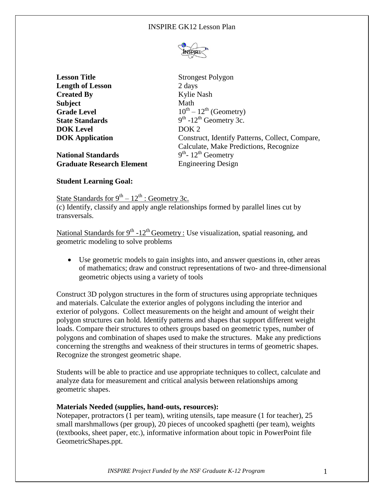

**Lesson Title** Strongest Polygon **Length of Lesson** 2 days **Created By** Kylie Nash **Subject** Math **Grade Level State Standards DOK Level** DOK 2

**National Standards Graduate Research Element** Engineering Design

 $10^{th} - 12^{th}$  (Geometry)  $th$  -12<sup>th</sup> Geometry 3c. **DOK Application Construct, Identify Patterns, Collect, Compare,** Calculate, Make Predictions, Recognize <sup>th</sup>- 12<sup>th</sup> Geometry

# **Student Learning Goal:**

State Standards for  $9^{th} - 12^{th}$  : Geometry 3c. (c) Identify, classify and apply angle relationships formed by parallel lines cut by transversals.

National Standards for  $9<sup>th</sup> - 12<sup>th</sup>$  Geometry: Use visualization, spatial reasoning, and geometric modeling to solve problems

 Use geometric models to gain insights into, and answer questions in, other areas of mathematics; draw and construct representations of two- and three-dimensional geometric objects using a variety of tools

Construct 3D polygon structures in the form of structures using appropriate techniques and materials. Calculate the exterior angles of polygons including the interior and exterior of polygons. Collect measurements on the height and amount of weight their polygon structures can hold. Identify patterns and shapes that support different weight loads. Compare their structures to others groups based on geometric types, number of polygons and combination of shapes used to make the structures. Make any predictions concerning the strengths and weakness of their structures in terms of geometric shapes. Recognize the strongest geometric shape.

Students will be able to practice and use appropriate techniques to collect, calculate and analyze data for measurement and critical analysis between relationships among geometric shapes.

### **Materials Needed (supplies, hand-outs, resources):**

Notepaper, protractors (1 per team), writing utensils, tape measure (1 for teacher), 25 small marshmallows (per group), 20 pieces of uncooked spaghetti (per team), weights (textbooks, sheet paper, etc.), informative information about topic in PowerPoint file GeometricShapes.ppt.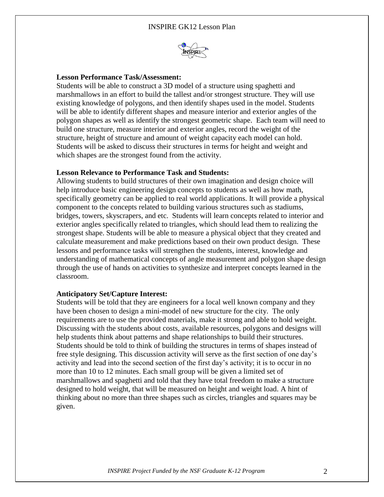

#### **Lesson Performance Task/Assessment:**

Students will be able to construct a 3D model of a structure using spaghetti and marshmallows in an effort to build the tallest and/or strongest structure. They will use existing knowledge of polygons, and then identify shapes used in the model. Students will be able to identify different shapes and measure interior and exterior angles of the polygon shapes as well as identify the strongest geometric shape. Each team will need to build one structure, measure interior and exterior angles, record the weight of the structure, height of structure and amount of weight capacity each model can hold. Students will be asked to discuss their structures in terms for height and weight and which shapes are the strongest found from the activity.

### **Lesson Relevance to Performance Task and Students:**

Allowing students to build structures of their own imagination and design choice will help introduce basic engineering design concepts to students as well as how math, specifically geometry can be applied to real world applications. It will provide a physical component to the concepts related to building various structures such as stadiums, bridges, towers, skyscrapers, and etc. Students will learn concepts related to interior and exterior angles specifically related to triangles, which should lead them to realizing the strongest shape. Students will be able to measure a physical object that they created and calculate measurement and make predictions based on their own product design. These lessons and performance tasks will strengthen the students, interest, knowledge and understanding of mathematical concepts of angle measurement and polygon shape design through the use of hands on activities to synthesize and interpret concepts learned in the classroom.

#### **Anticipatory Set/Capture Interest:**

Students will be told that they are engineers for a local well known company and they have been chosen to design a mini-model of new structure for the city. The only requirements are to use the provided materials, make it strong and able to hold weight. Discussing with the students about costs, available resources, polygons and designs will help students think about patterns and shape relationships to build their structures. Students should be told to think of building the structures in terms of shapes instead of free style designing. This discussion activity will serve as the first section of one day's activity and lead into the second section of the first day's activity; it is to occur in no more than 10 to 12 minutes. Each small group will be given a limited set of marshmallows and spaghetti and told that they have total freedom to make a structure designed to hold weight, that will be measured on height and weight load. A hint of thinking about no more than three shapes such as circles, triangles and squares may be given.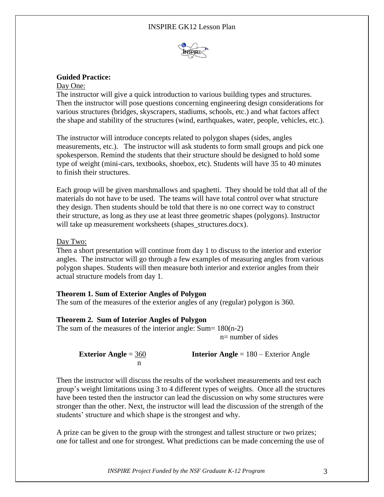## INSPIRE GK12 Lesson Plan



## **Guided Practice:**

#### Day One:

The instructor will give a quick introduction to various building types and structures. Then the instructor will pose questions concerning engineering design considerations for various structures (bridges, skyscrapers, stadiums, schools, etc.) and what factors affect the shape and stability of the structures (wind, earthquakes, water, people, vehicles, etc.).

The instructor will introduce concepts related to polygon shapes (sides, angles measurements, etc.). The instructor will ask students to form small groups and pick one spokesperson. Remind the students that their structure should be designed to hold some type of weight (mini-cars, textbooks, shoebox, etc). Students will have 35 to 40 minutes to finish their structures.

Each group will be given marshmallows and spaghetti. They should be told that all of the materials do not have to be used. The teams will have total control over what structure they design. Then students should be told that there is no one correct way to construct their structure, as long as they use at least three geometric shapes (polygons). Instructor will take up measurement worksheets (shapes\_structures.docx).

#### Day Two:

Then a short presentation will continue from day 1 to discuss to the interior and exterior angles. The instructor will go through a few examples of measuring angles from various polygon shapes. Students will then measure both interior and exterior angles from their actual structure models from day 1.

### **Theorem 1. Sum of Exterior Angles of Polygon**

The sum of the measures of the exterior angles of any (regular) polygon is 360.

### **Theorem 2. Sum of Interior Angles of Polygon**

The sum of the measures of the interior angle:  $Sum = 180(n-2)$ n= number of sides

**Exterior Angle** = 360 **Interior Angle** = 180 – Exterior Angle n and the state of the state of the state of the state of the state of the state of the state of the state of the state of the state of the state of the state of the state of the state of the state of the state of the stat

Then the instructor will discuss the results of the worksheet measurements and test each group's weight limitations using 3 to 4 different types of weights. Once all the structures have been tested then the instructor can lead the discussion on why some structures were stronger than the other. Next, the instructor will lead the discussion of the strength of the students' structure and which shape is the strongest and why.

A prize can be given to the group with the strongest and tallest structure or two prizes; one for tallest and one for strongest. What predictions can be made concerning the use of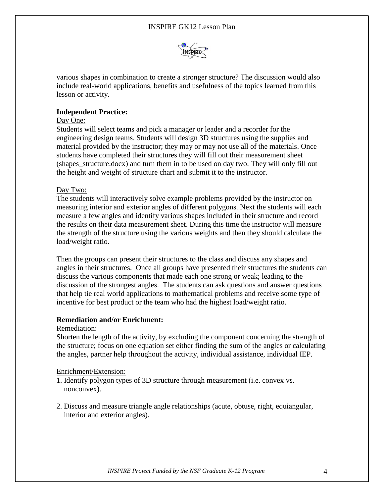

various shapes in combination to create a stronger structure? The discussion would also include real-world applications, benefits and usefulness of the topics learned from this lesson or activity.

# **Independent Practice:**

## Day One:

Students will select teams and pick a manager or leader and a recorder for the engineering design teams. Students will design 3D structures using the supplies and material provided by the instructor; they may or may not use all of the materials. Once students have completed their structures they will fill out their measurement sheet (shapes\_structure.docx) and turn them in to be used on day two. They will only fill out the height and weight of structure chart and submit it to the instructor.

### Day Two:

The students will interactively solve example problems provided by the instructor on measuring interior and exterior angles of different polygons. Next the students will each measure a few angles and identify various shapes included in their structure and record the results on their data measurement sheet. During this time the instructor will measure the strength of the structure using the various weights and then they should calculate the load/weight ratio.

Then the groups can present their structures to the class and discuss any shapes and angles in their structures. Once all groups have presented their structures the students can discuss the various components that made each one strong or weak; leading to the discussion of the strongest angles. The students can ask questions and answer questions that help tie real world applications to mathematical problems and receive some type of incentive for best product or the team who had the highest load/weight ratio.

### **Remediation and/or Enrichment:**

### Remediation:

Shorten the length of the activity, by excluding the component concerning the strength of the structure; focus on one equation set either finding the sum of the angles or calculating the angles, partner help throughout the activity, individual assistance, individual IEP.

# Enrichment/Extension:

- 1. Identify polygon types of 3D structure through measurement (i.e. convex vs. nonconvex).
- 2. Discuss and measure triangle angle relationships (acute, obtuse, right, equiangular, interior and exterior angles).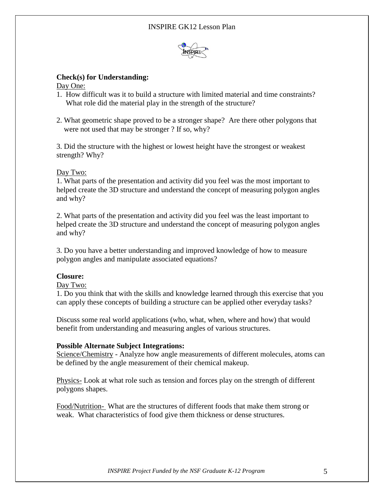

# **Check(s) for Understanding:**

Day One:

- 1. How difficult was it to build a structure with limited material and time constraints? What role did the material play in the strength of the structure?
- 2. What geometric shape proved to be a stronger shape? Are there other polygons that were not used that may be stronger ? If so, why?

3. Did the structure with the highest or lowest height have the strongest or weakest strength? Why?

# Day Two:

1. What parts of the presentation and activity did you feel was the most important to helped create the 3D structure and understand the concept of measuring polygon angles and why?

2. What parts of the presentation and activity did you feel was the least important to helped create the 3D structure and understand the concept of measuring polygon angles and why?

3. Do you have a better understanding and improved knowledge of how to measure polygon angles and manipulate associated equations?

# **Closure:**

### Day Two:

1. Do you think that with the skills and knowledge learned through this exercise that you can apply these concepts of building a structure can be applied other everyday tasks?

Discuss some real world applications (who, what, when, where and how) that would benefit from understanding and measuring angles of various structures.

### **Possible Alternate Subject Integrations:**

Science/Chemistry - Analyze how angle measurements of different molecules, atoms can be defined by the angle measurement of their chemical makeup.

Physics- Look at what role such as tension and forces play on the strength of different polygons shapes.

Food/Nutrition- What are the structures of different foods that make them strong or weak. What characteristics of food give them thickness or dense structures.